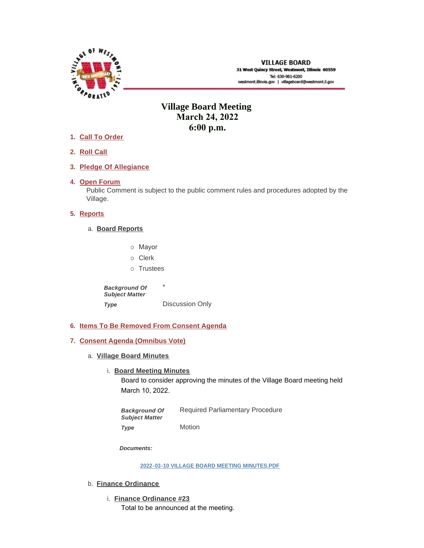

# **Village Board Meeting March 24, 2022 6:00 p.m.**

- **Call To Order 1.**
- **Roll Call 2.**
- **Pledge Of Allegiance 3.**
- 4. Open Forum

Public Comment is subject to the public comment rules and procedures adopted by the Village.

# **5.** Reports

- **Board Reports** a.
	- o Mayor
	- o Clerk
	- o Trustees

\* Discussion Only *Background Of Subject Matter Type* 

**Items To Be Removed From Consent Agenda 6.**

# **Consent Agenda (Omnibus Vote) 7.**

- **Village Board Minutes** a.
	- **Board Meeting Minutes**

Board to consider approving the minutes of the Village Board meeting held March 10, 2022.

Required Parliamentary Procedure Motion *Background Of Subject Matter Type* 

*Documents:*

**[2022-03-10 VILLAGE BOARD MEETING MINUTES.PDF](https://westmont.illinois.gov/AgendaCenter/ViewFile/Item/8548?fileID=12733)**

- b. **Finance Ordinance** 
	- **Finance Ordinance #23** i. Total to be announced at the meeting.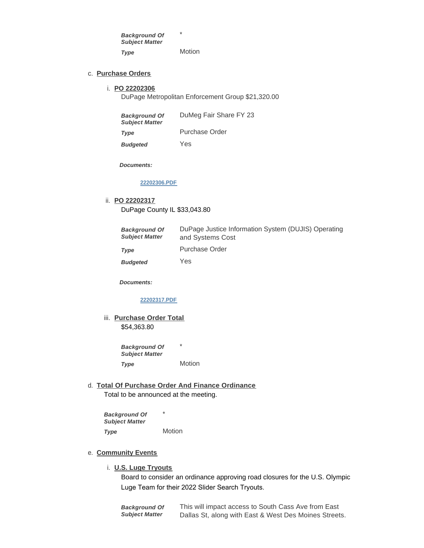\* **Motion** *Background Of Subject Matter Type* 

#### **Purchase Orders** c.

#### **PO 22202306** i.

DuPage Metropolitan Enforcement Group \$21,320.00

| <b>Background Of</b><br><b>Subject Matter</b> | DuMeg Fair Share FY 23 |
|-----------------------------------------------|------------------------|
| Type                                          | Purchase Order         |
| <b>Budgeted</b>                               | Yes                    |

*Documents:*

### **[22202306.PDF](https://westmont.illinois.gov/AgendaCenter/ViewFile/Item/8539?fileID=12727)**

#### **PO 22202317** ii.

DuPage County IL \$33,043.80

| <b>Background Of</b><br><b>Subject Matter</b> | DuPage Justice Information System (DUJIS) Operating<br>and Systems Cost |
|-----------------------------------------------|-------------------------------------------------------------------------|
| Type                                          | Purchase Order                                                          |
| <b>Budgeted</b>                               | Yes                                                                     |

*Documents:*

# **[22202317.PDF](https://westmont.illinois.gov/AgendaCenter/ViewFile/Item/8544?fileID=12729)**

iii. **Purchase Order Total** \$54,363.80

> \* *Background Of Subject Matter*

- **Motion** *Type*
- **Total Of Purchase Order And Finance Ordinance** d.

Total to be announced at the meeting.

\* Motion *Background Of Subject Matter Type* 

#### **Community Events** e.

### **U.S. Luge Tryouts** i.

Board to consider an ordinance approving road closures for the U.S. Olympic Luge Team for their 2022 Slider Search Tryouts.

This will impact access to South Cass Ave from East Dallas St, along with East & West Des Moines Streets. *Background Of Subject Matter*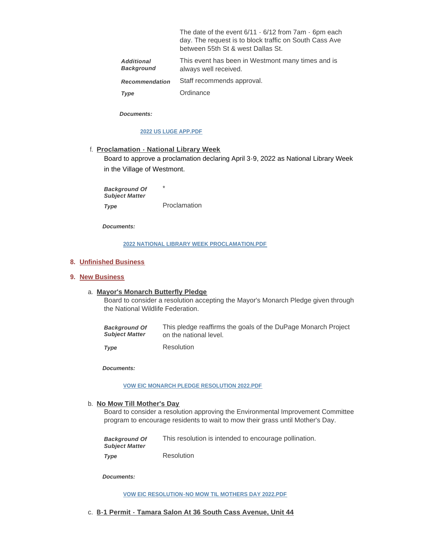|                                        | The date of the event $6/11 \cdot 6/12$ from $7am \cdot 6pm$ each<br>day. The request is to block traffic on South Cass Ave<br>between 55th St & west Dallas St. |
|----------------------------------------|------------------------------------------------------------------------------------------------------------------------------------------------------------------|
| <b>Additional</b><br><b>Background</b> | This event has been in Westmont many times and is<br>always well received.                                                                                       |
| <b>Recommendation</b>                  | Staff recommends approval.                                                                                                                                       |
|                                        | $\sim$ $\blacksquare$                                                                                                                                            |

**Ordinance** *Type* 

*Documents:*

### **[2022 US LUGE APP.PDF](https://westmont.illinois.gov/AgendaCenter/ViewFile/Item/8442?fileID=12728)**

**Proclamation - National Library Week** f.

Board to approve a proclamation declaring April 3-9, 2022 as National Library Week in the Village of Westmont.

\* Proclamation *Background Of Subject Matter Type* 

*Documents:*

# **[2022 NATIONAL LIBRARY WEEK PROCLAMATION.PDF](https://westmont.illinois.gov/AgendaCenter/ViewFile/Item/8520?fileID=12614)**

# **Unfinished Business 8.**

# **New Business 9.**

# **Mayor's Monarch Butterfly Pledge** a.

Board to consider a resolution accepting the Mayor's Monarch Pledge given through the National Wildlife Federation.

| <b>Background Of</b>  | This pledge reaffirms the goals of the DuPage Monarch Project |
|-----------------------|---------------------------------------------------------------|
| <b>Subject Matter</b> | on the national level.                                        |

Resolution *Type* 

*Documents:*

#### **[VOW EIC MONARCH PLEDGE RESOLUTION 2022.PDF](https://westmont.illinois.gov/AgendaCenter/ViewFile/Item/8538?fileID=12725)**

### b. No Mow Till Mother's Day

Board to consider a resolution approving the Environmental Improvement Committee program to encourage residents to wait to mow their grass until Mother's Day.

| <b>Background Of</b><br><b>Subiect Matter</b> | This resolution is intended to encourage pollination. |
|-----------------------------------------------|-------------------------------------------------------|
| Type                                          | Resolution                                            |

*Documents:*

**[VOW EIC RESOLUTION-NO MOW TIL MOTHERS DAY 2022.PDF](https://westmont.illinois.gov/AgendaCenter/ViewFile/Item/8537?fileID=12726)**

**B-1 Permit - Tamara Salon At 36 South Cass Avenue, Unit 44**  c.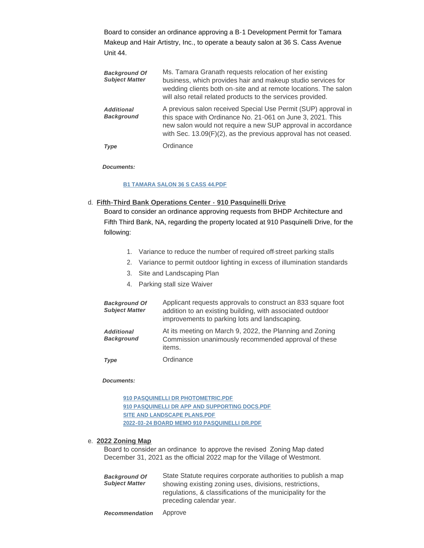Board to consider an ordinance approving a B-1 Development Permit for Tamara Makeup and Hair Artistry, Inc., to operate a beauty salon at 36 S. Cass Avenue Unit 44.

| <b>Background Of</b><br><b>Subject Matter</b> | Ms. Tamara Granath requests relocation of her existing<br>business, which provides hair and makeup studio services for<br>wedding clients both on-site and at remote locations. The salon<br>will also retail related products to the services provided.        |
|-----------------------------------------------|-----------------------------------------------------------------------------------------------------------------------------------------------------------------------------------------------------------------------------------------------------------------|
| <b>Additional</b><br><b>Background</b>        | A previous salon received Special Use Permit (SUP) approval in<br>this space with Ordinance No. 21-061 on June 3, 2021. This<br>new salon would not require a new SUP approval in accordance<br>with Sec. 13.09(F)(2), as the previous approval has not ceased. |
| Type                                          | Ordinance                                                                                                                                                                                                                                                       |

*Documents:*

#### **[B1 TAMARA SALON 36 S CASS 44.PDF](https://westmont.illinois.gov/AgendaCenter/ViewFile/Item/8535?fileID=12683)**

**Fifth-Third Bank Operations Center - 910 Pasquinelli Drive** d.

Board to consider an ordinance approving requests from BHDP Architecture and Fifth Third Bank, NA, regarding the property located at 910 Pasquinelli Drive, for the following:

- 1. Variance to reduce the number of required off-street parking stalls
- 2. Variance to permit outdoor lighting in excess of illumination standards
- 3. Site and Landscaping Plan
- 4. Parking stall size Waiver

| <b>Background Of</b><br><b>Subject Matter</b> | Applicant requests approvals to construct an 833 square foot<br>addition to an existing building, with associated outdoor<br>improvements to parking lots and landscaping. |
|-----------------------------------------------|----------------------------------------------------------------------------------------------------------------------------------------------------------------------------|
| <b>Additional</b><br><b>Background</b>        | At its meeting on March 9, 2022, the Planning and Zoning<br>Commission unanimously recommended approval of these<br>items.                                                 |
| Type                                          | Ordinance                                                                                                                                                                  |

#### *Documents:*

**[910 PASQUINELLI DR PHOTOMETRIC.PDF](https://westmont.illinois.gov/AgendaCenter/ViewFile/Item/8536?fileID=12684) [910 PASQUINELLI DR APP AND SUPPORTING DOCS.PDF](https://westmont.illinois.gov/AgendaCenter/ViewFile/Item/8536?fileID=12685) [SITE AND LANDSCAPE PLANS.PDF](https://westmont.illinois.gov/AgendaCenter/ViewFile/Item/8536?fileID=12686) [2022-03-24 BOARD MEMO 910 PASQUINELLI DR.PDF](https://westmont.illinois.gov/AgendaCenter/ViewFile/Item/8536?fileID=12687)**

#### **2022 Zoning Map** e.

Board to consider an ordinance to approve the revised Zoning Map dated December 31, 2021 as the official 2022 map for the Village of Westmont.

| <b>Background Of</b><br><b>Subject Matter</b> | State Statute requires corporate authorities to publish a map<br>showing existing zoning uses, divisions, restrictions,<br>regulations, & classifications of the municipality for the<br>preceding calendar year. |
|-----------------------------------------------|-------------------------------------------------------------------------------------------------------------------------------------------------------------------------------------------------------------------|
|                                               |                                                                                                                                                                                                                   |

Approve *Recommendation*